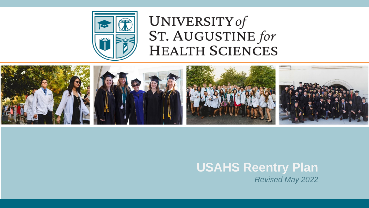

# UNIVERSITY of ST. AUGUSTINE for **HEALTH SCIENCES**



# **USAHS Reentry Plan** *Revised May 2022*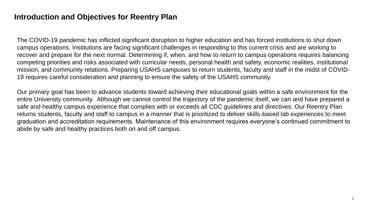### **Introduction and Objectives for Reentry Plan**

The COVID-19 pandemic has inflicted significant disruption to higher education and has forced institutions to shut down campus operations. Institutions are facing significant challenges in responding to this current crisis and are working to recover and prepare for the next normal. Determining if, when, and how to return to campus operations requires balancing competing priorities and risks associated with curricular needs, personal health and safety, economic realities, institutional mission, and community relations. Preparing USAHS campuses to return students, faculty and staff in the midst of COVID-19 requires careful consideration and planning to ensure the safety of the USAHS community.

Our primary goal has been to advance students toward achieving their educational goals within a safe environment for the entire University community. Although we cannot control the trajectory of the pandemic itself, we can and have prepared a safe and healthy campus experience that complies with or exceeds all CDC guidelines and directives. Our Reentry Plan returns students, faculty and staff to campus in a manner that is prioritized to deliver skills-based lab experiences to meet graduation and accreditation requirements. Maintenance of this environment requires everyone's continued commitment to abide by safe and healthy practices both on and off campus.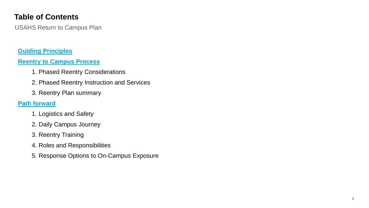# **Table of Contents**

USAHS Return to Campus Plan

### **[Guiding Principles](#page-3-0)**

### **[Reentry to Campus Process](#page-4-0)**

- 1. Phased Reentry Considerations
- 2. Phased Reentry Instruction and Services
- 3. Reentry Plan summary

### **[Path forward](#page-11-0)**

- 1. Logistics and Safety
- 2. Daily Campus Journey
- 3. Reentry Training
- 4. Roles and Responsibilities
- 5. Response Options to On-Campus Exposure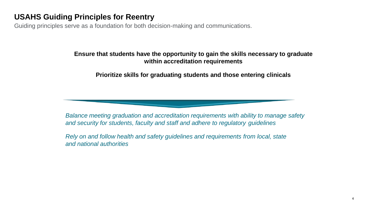### <span id="page-3-0"></span>**USAHS Guiding Principles for Reentry**

Guiding principles serve as a foundation for both decision-making and communications.

### **Ensure that students have the opportunity to gain the skills necessary to graduate within accreditation requirements**

**Prioritize skills for graduating students and those entering clinicals**

*Balance meeting graduation and accreditation requirements with ability to manage safety and security for students, faculty and staff and adhere to regulatory guidelines*

*Rely on and follow health and safety guidelines and requirements from local, state and national authorities*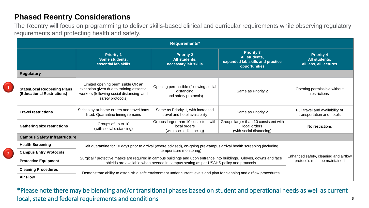### <span id="page-4-0"></span>**Phased Reentry Considerations**

1

2

The Reentry will focus on programming to deliver skills-based clinical and curricular requirements while observing regulatory requirements and protecting health and safety.

| Requirements*                                                    |                                                                                                                                                                                                                |                                                                                   |                                                                                         |                                                              |
|------------------------------------------------------------------|----------------------------------------------------------------------------------------------------------------------------------------------------------------------------------------------------------------|-----------------------------------------------------------------------------------|-----------------------------------------------------------------------------------------|--------------------------------------------------------------|
|                                                                  | <b>Priority 1</b><br>Some students,<br>essential lab skills                                                                                                                                                    | <b>Priority 2</b><br>All students,<br>necessary lab skills                        | <b>Priority 3</b><br>All students,<br>expanded lab skills and practice<br>opportunities | <b>Priority 4</b><br>All students,<br>all labs, all lectures |
| <b>Regulatory</b>                                                |                                                                                                                                                                                                                |                                                                                   |                                                                                         |                                                              |
| <b>State/Local Reopening Plans</b><br>(Educational Restrictions) | Limited opening permissible OR an<br>exception given due to training essential<br>workers (following social distancing and<br>safety protocols)                                                                | Opening permissible (following social<br>distancing<br>and safety protocols)      | Same as Priority 2                                                                      | Opening permissible without<br>restrictions                  |
| <b>Travel restrictions</b>                                       | Strict stay-at-home orders and travel bans<br>lifted; Quarantine timing remains                                                                                                                                | Same as Priority 1, with increased<br>travel and hotel availability               | Same as Priority 2                                                                      | Full travel and availability of<br>transportation and hotels |
| <b>Gathering size restrictions</b>                               | Groups of up to 10<br>(with social distancing)                                                                                                                                                                 | Groups larger than 10 consistent with<br>local orders<br>(with social distancing) | Groups larger than 10 consistent with<br>local orders<br>(with social distancing)       | No restrictions                                              |
| <b>Campus Safety Infrastructure</b>                              |                                                                                                                                                                                                                |                                                                                   |                                                                                         |                                                              |
| <b>Health Screening</b>                                          | Self quarantine for 10 days prior to arrival (where advised), on-going pre-campus arrival health screening (including<br>temperature monitoring)                                                               |                                                                                   |                                                                                         |                                                              |
| <b>Campus Entry Protocols</b>                                    |                                                                                                                                                                                                                |                                                                                   |                                                                                         |                                                              |
| <b>Protective Equipment</b>                                      | Surgical / protective masks are required in campus buildings and upon entrance into buildings. Gloves, gowns and face<br>shields are available when needed in campus setting as per USAHS policy and protocols |                                                                                   | Enhanced safety, cleaning and airflow<br>protocols must be maintained                   |                                                              |
| <b>Cleaning Procedures</b>                                       | Demonstrate ability to establish a safe environment under current levels and plan for cleaning and airflow procedures                                                                                          |                                                                                   |                                                                                         |                                                              |
| <b>Air Flow</b>                                                  |                                                                                                                                                                                                                |                                                                                   |                                                                                         |                                                              |

\*Please note there may be blending and/or transitional phases based on student and operational needs as well as current local, state and federal requirements and conditions

5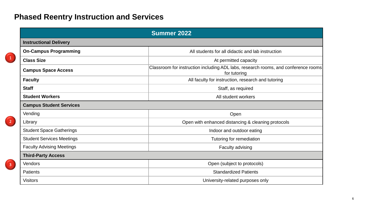# **Phased Reentry Instruction and Services**

 $\begin{bmatrix} 1 \end{bmatrix}$ 

2

3

| Summer 2022                                                                                                                      |                                                    |  |  |
|----------------------------------------------------------------------------------------------------------------------------------|----------------------------------------------------|--|--|
| <b>Instructional Delivery</b>                                                                                                    |                                                    |  |  |
| <b>On-Campus Programming</b>                                                                                                     | All students for all didactic and lab instruction  |  |  |
| <b>Class Size</b>                                                                                                                | At permitted capacity                              |  |  |
| Classroom for instruction including ADL labs, research rooms, and conference rooms<br><b>Campus Space Access</b><br>for tutoring |                                                    |  |  |
| <b>Faculty</b>                                                                                                                   | All faculty for instruction, research and tutoring |  |  |
| <b>Staff</b>                                                                                                                     | Staff, as required                                 |  |  |
| <b>Student Workers</b><br>All student workers                                                                                    |                                                    |  |  |
| <b>Campus Student Services</b>                                                                                                   |                                                    |  |  |
| Vending                                                                                                                          | Open                                               |  |  |
| Library                                                                                                                          | Open with enhanced distancing & cleaning protocols |  |  |
| <b>Student Space Gatherings</b>                                                                                                  | Indoor and outdoor eating                          |  |  |
| <b>Student Services Meetings</b>                                                                                                 | Tutoring for remediation                           |  |  |
| <b>Faculty Advising Meetings</b>                                                                                                 | Faculty advising                                   |  |  |
| <b>Third-Party Access</b>                                                                                                        |                                                    |  |  |
| Vendors                                                                                                                          | Open (subject to protocols)                        |  |  |
| Patients                                                                                                                         | <b>Standardized Patients</b>                       |  |  |
| <b>Visitors</b>                                                                                                                  | University-related purposes only                   |  |  |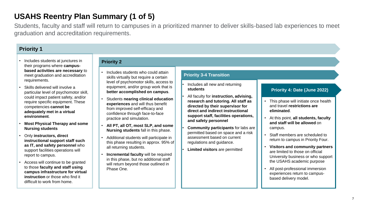# **USAHS Reentry Plan Summary (1 of 5)**

Students, faculty and staff will return to campuses in a prioritized manner to deliver skills-based lab experiences to meet graduation and accreditation requirements.

### **Priority 1**

- Includes students at junctures in their programs where **campusbased activities are necessary** to meet graduation and accreditation requirements.
- Skills delivered will involve a particular level of psychomotor skill, could impact patient safety, and/or require specific equipment. These competencies **cannot be adequately met in a virtual environment**.
- **Most Physical Therapy and some Nursing students**
- Only **instructors, direct instructional support staff such as IT, and safety personnel** who support facilities operations will report to campus.
- Access will continue to be granted to those **faculty and staff using campus infrastructure for virtual instruction** or those who find it difficult to work from home.

#### **Priority 2**

- Includes students who could attain skills virtually but require a certain level of psychomotor skills, access to equipment, and/or group work that is **better accomplished on campus**.
- Students **nearing clinical education experiences** and will thus benefit from improved self-efficacy and confidence through face-to-face practice and simulation.
- **All PT, all OT, most SLP, and some Nursing students** fall in this phase.
- Additional students will participate in this phase resulting in approx. 95% of all returning students.
- **Incremental faculty** will be required in this phase, but no additional staff will return beyond those outlined in Phase One.

#### **Priority 3-4 Transition**

#### • Includes all new and returning **students**

- All faculty for **instruction, advising, research and tutoring. All staff as directed by their supervisor for direct and indirect instructional support staff, facilities operations, and safety personnel**
- **Community participants** for labs are permitted based on space and a risk assessment based on current regulations and guidance.
- **Limited visitors** are permitted

#### **Priority 4: Date (June 2022)**

- This phase will initiate once health and travel **restrictions are eliminated**.
- At this point, **all students, faculty and staff will be allowed** on campus.
- Staff members are scheduled to return to campus in Priority Four.
- **Visitors and community partners**  are limited to those on official University business or who support the USAHS academic purpose
- All post-professional immersion experiences return to campusbased delivery model.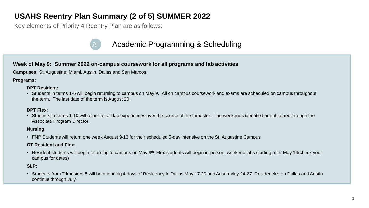# **USAHS Reentry Plan Summary (2 of 5) SUMMER 2022**

Key elements of Priority 4 Reentry Plan are as follows:

# Academic Programming & Scheduling

#### **Week of May 9: Summer 2022 on-campus coursework for all programs and lab activities**

**Campuses:** St. Augustine, Miami, Austin, Dallas and San Marcos.

**Programs:**

#### **DPT Resident:**

• Students in terms 1-6 will begin returning to campus on May 9. All on campus coursework and exams are scheduled on campus throughout the term. The last date of the term is August 20.

#### **DPT Flex:**

• Students in terms 1-10 will return for all lab experiences over the course of the trimester. The weekends identified are obtained through the Associate Program Director.

#### **Nursing:**

• FNP Students will return one week August 9-13 for their scheduled 5-day intensive on the St. Augustine Campus

#### **OT Resident and Flex:**

• Resident students will begin returning to campus on May 9<sup>th</sup>; Flex students will begin in-person, weekend labs starting after May 14(check your campus for dates)

#### **SLP:**

• Students from Trimesters 5 will be attending 4 days of Residency in Dallas May 17-20 and Austin May 24-27. Residencies on Dallas and Austin continue through July.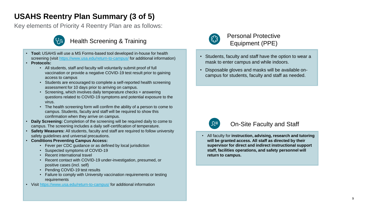# **USAHS Reentry Plan Summary (3 of 5)**

Key elements of Priority 4 Reentry Plan are as follows:



### Health Screening & Training

- **Tool:** USAHS will use a MS Forms-based tool developed in-house for health screening (visit<https://www.usa.edu/return-to-campus/> for additional information)
- **Protocols:** 
	- All students, staff and faculty will voluntarily submit proof of full vaccination or provide a negative COVID-19 test result prior to gaining access to campus
	- Students are encouraged to complete a self-reported health screening assessment for 10 days prior to arriving on campus.
	- Screening, which involves daily temperature checks + answering questions related to COVID-19 symptoms and potential exposure to the virus.
	- The health screening form will confirm the ability of a person to come to campus. Students, faculty and staff will be required to show this confirmation when they arrive on campus.
- **Daily Screening:** Completion of the screening will be required daily to come to campus. The screening includes a daily self-certification of temperature.
- **Safety Measures:** All students, faculty and staff are required to follow university safety guidelines and universal precautions.
- **Conditions Preventing Campus Access:** 
	- Fever per CDC guidance or as defined by local jurisdiction
	- Suspected symptoms of COVID-19
	- Recent international travel
	- Recent contact with COVID-19 under-investigation, presumed, or positive cases (incl. self)
	- Pending COVID-19 test results
	- Failure to comply with University vaccination requirements or testing requirements
- Visit<https://www.usa.edu/return-to-campus/> for additional information



### Personal Protective Equipment (PPE)

- Students, faculty and staff have the option to wear a mask to enter campus and while indoors.
- Disposable gloves and masks will be available oncampus for students, faculty and staff as needed.



### On-Site Faculty and Staff

• All faculty for **instruction, advising, research and tutoring will be granted access. All staff as directed by their supervisor for direct and indirect instructional support staff, facilities operations, and safety personnel will return to campus.**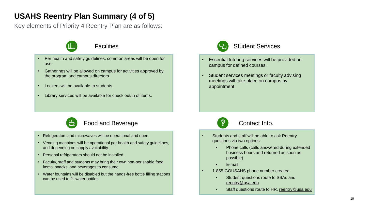# **USAHS Reentry Plan Summary (4 of 5)**

Key elements of Priority 4 Reentry Plan are as follows:





- Per health and safety guidelines, common areas will be open for use.
- Gatherings will be allowed on campus for activities approved by the program and campus directors.
- Lockers will be available to students.
- Library services will be available for check out/in of items.



### Student Services

- Essential tutoring services will be provided oncampus for defined courses.
- Student services meetings or faculty advising meetings will take place on campus by appointment.



### Food and Beverage

- Refrigerators and microwaves will be operational and open.
- Vending machines will be operational per health and safety guidelines, and depending on supply availability.
- Personal refrigerators should not be installed.
- Faculty, staff and students may bring their own non-perishable food items, snacks, and beverages to consume.
- Water fountains will be disabled but the hands-free bottle filling stations can be used to fill water bottles.



### Contact Info.

- Students and staff will be able to ask Reentry questions via two options:
	- Phone calls (calls answered during extended business hours and returned as soon as possible)
	- E-mail
- 1-855-GOUSAHS phone number created:
	- Student questions route to SSAs and reentry@usa.edu
	- Staff questions route to HR, [reentry@usa.edu](mailto:reentry@usa.edu)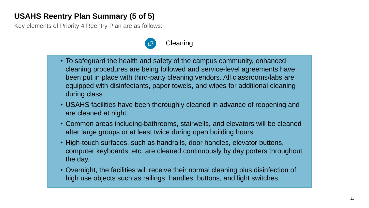# **USAHS Reentry Plan Summary (5 of 5)**

Key elements of Priority 4 Reentry Plan are as follows:



- To safeguard the health and safety of the campus community, enhanced cleaning procedures are being followed and service-level agreements have been put in place with third-party cleaning vendors. All classrooms/labs are equipped with disinfectants, paper towels, and wipes for additional cleaning during class.
- USAHS facilities have been thoroughly cleaned in advance of reopening and are cleaned at night.
- Common areas including-bathrooms, stairwells, and elevators will be cleaned after large groups or at least twice during open building hours.
- High-touch surfaces, such as handrails, door handles, elevator buttons, computer keyboards, etc. are cleaned continuously by day porters throughout the day.
- Overnight, the facilities will receive their normal cleaning plus disinfection of high use objects such as railings, handles, buttons, and light switches.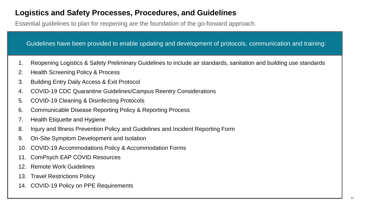# <span id="page-11-0"></span>**Logistics and Safety Processes, Procedures, and Guidelines**

Essential guidelines to plan for reopening are the foundation of the go-forward approach.

Guidelines have been provided to enable updating and development of protocols, communication and training:

- 1. Reopening Logistics & Safety Preliminary Guidelines to include air standards, sanitation and building use standards
- 2. Health Screening Policy & Process
- 3. Building Entry Daily Access & Exit Protocol
- 4. COVID-19 CDC Quarantine Guidelines/Campus Reentry Considerations
- 5. COVID-19 Cleaning & Disinfecting Protocols
- 6. Communicable Disease Reporting Policy & Reporting Process
- 7. Health Etiquette and Hygiene
- 8. Injury and Illness Prevention Policy and Guidelines and Incident Reporting Form
- 9. On-Site Symptom Development and Isolation
- 10. COVID-19 Accommodations Policy & Accommodation Forms
- 11. ComPsych EAP COVID Resources
- 12. Remote Work Guidelines
- 13. Travel Restrictions Policy
- 14. COVID-19 Policy on PPE Requirements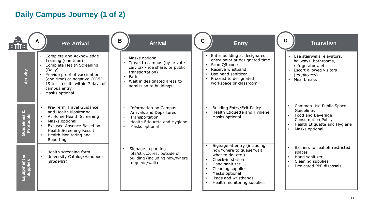# **Daily Campus Journey (1 of 2)**

| <b>THE</b><br>l::MI            | <b>Pre-Arrival</b>                                                                                                                                                                                                                 | B<br><b>Arrival</b>                                                                                                                                                   | <b>Entry</b>                                                                                                                                                                                                                 | D<br><b>Transition</b>                                                                                                                    |
|--------------------------------|------------------------------------------------------------------------------------------------------------------------------------------------------------------------------------------------------------------------------------|-----------------------------------------------------------------------------------------------------------------------------------------------------------------------|------------------------------------------------------------------------------------------------------------------------------------------------------------------------------------------------------------------------------|-------------------------------------------------------------------------------------------------------------------------------------------|
| Activity                       | Complete and Acknowledge<br>Training (one time)<br>• Complete Health Screening<br>(Daily)<br>• Provide proof of vaccination<br>(one time) or negative COVID-<br>19 test results within 7 days of<br>campus entry<br>Masks optional | Masks optional<br>Travel to campus (by private<br>car, taxi/ride share, or public<br>transportation)<br>Park<br>Wait in designated areas to<br>admission to buildings | Enter building at designated<br>entry point at designated time<br>Scan QR code<br>Receive wristband<br>Use hand sanitizer<br>Proceed to designated<br>workspace or classroom                                                 | Use stairwells, elevators,<br>hallways, bathrooms,<br>refrigerators, etc.<br>Escort allowed visitors<br>(employees)<br>Meal breaks        |
| ಜ<br>Guidelines &<br>Protocols | Pre-Term Travel Guidance<br>and Health Monitoring<br>At Home Health Screening<br>Masks optional<br>Excused Absence Based on<br>Health Screening Result<br>Health Monitoring and<br>Reporting                                       | <b>Information on Campus</b><br>Arrivals and Departures<br>Transportation<br>Health Etiquette and Hygiene<br>Masks optional                                           | <b>Building Entry/Exit Policy</b><br>Health Etiquette and Hygiene<br>Masks optional                                                                                                                                          | Common Use Public Space<br>Guidelines<br>Food and Beverage<br><b>Consumption Policy</b><br>Health Etiquette and Hygiene<br>Masks optional |
| ಜ<br>Equipment &<br>Supplies   | Health screening form<br>University Catalog/Handbook<br>(students)                                                                                                                                                                 | Signage in parking<br>lots/structures, outside of<br>building (including how/where<br>to queue/wait)                                                                  | Signage at entry (including<br>how/where to queue/wait,<br>what to do, etc.)<br>Check-in station<br>$\bullet$<br>Hand sanitizer<br>Cleaning supplies<br>Masks optional<br>iPads and wristbands<br>Health monitoring supplies | Barriers to seal off restricted<br>spaces<br>Hand sanitizer<br>Cleaning supplies<br>Dedicated PPE disposals                               |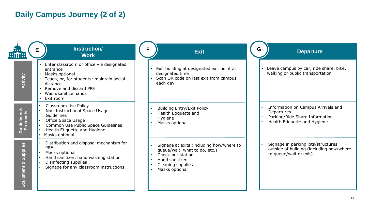# **Daily Campus Journey (2 of 2)**

| $::\mathsf{m}::$                      | Instruction/<br><b>Work</b>                                                                                                                                                                  | <b>Exit</b>                                                                                                                                                                                    | G<br><b>Departure</b>                                                                                              |
|---------------------------------------|----------------------------------------------------------------------------------------------------------------------------------------------------------------------------------------------|------------------------------------------------------------------------------------------------------------------------------------------------------------------------------------------------|--------------------------------------------------------------------------------------------------------------------|
| Activity                              | Enter classroom or office via designated<br>entrance<br>Masks optional<br>Teach, or, for students: maintain social<br>distance<br>Remove and discard PPE<br>Wash/sanitize hands<br>Exit room | Exit building at designated exit point at<br>designated time<br>Scan QR code on last exit from campus<br>each day                                                                              | Leave campus by car, ride share, bike,<br>walking or public transportation                                         |
| <b>Guidelines &amp;<br/>Protocols</b> | Classroom Use Policy<br>Non-Instructional Space Usage<br>Guidelines<br>Office Space Usage<br>Common Use Public Space Guidelines<br>Health Etiquette and Hygiene<br>Masks optional            | <b>Building Entry/Exit Policy</b><br>$\bullet$<br>Health Etiquette and<br>$\bullet$<br>Hygiene<br>Masks optional                                                                               | Information on Campus Arrivals and<br>Departures<br>Parking/Ride Share Information<br>Health Etiquette and Hygiene |
| <u>Supplies</u><br>ಯ<br>Equipment     | Distribution and disposal mechanism for<br><b>PPE</b><br>Masks optional<br>Hand sanitizer, hand washing station<br>Disinfecting supplies<br>Signage for any classroom instructions           | Signage at exits (including how/where to<br>queue/wait, what to do, etc.)<br>Check-out station<br>$\bullet$<br>Hand sanitizer<br>$\bullet$<br>Cleaning supplies<br>$\bullet$<br>Masks optional | Signage in parking lots/structures,<br>outside of building (including how/where<br>to queue/wait or exit)          |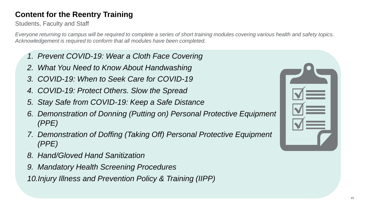# **Content for the Reentry Training**

Students, Faculty and Staff

*Everyone returning to campus will be required to complete a series of short training modules covering various health and safety topics. Acknowledgement is required to conform that all modules have been completed.*

- *1. Prevent COVID-19: Wear a Cloth Face Covering*
- *2. What You Need to Know About Handwashing*
- *3. COVID-19: When to Seek Care for COVID-19*
- *4. COVID-19: Protect Others. Slow the Spread*
- *5. Stay Safe from COVID-19: Keep a Safe Distance*
- *6. Demonstration of Donning (Putting on) Personal Protective Equipment (PPE)*
- *7. Demonstration of Doffing (Taking Off) Personal Protective Equipment (PPE)*
- *8. Hand/Gloved Hand Sanitization*
- *9. Mandatory Health Screening Procedures*

*10.Injury Illness and Prevention Policy & Training (IIPP)*

| $\blacktriangleleft$<br>═      |
|--------------------------------|
| $\blacktriangleleft$<br>an an  |
| $\blacktriangledown$<br>$\sim$ |
|                                |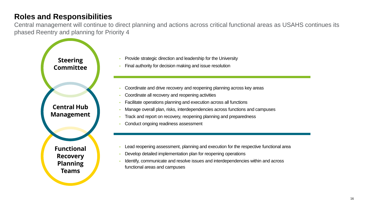# **Roles and Responsibilities**

Central management will continue to direct planning and actions across critical functional areas as USAHS continues its phased Reentry and planning for Priority 4



- Provide strategic direction and leadership for the University
- Final authority for decision making and issue resolution
- Coordinate and drive recovery and reopening planning across key areas
- Coordinate all recovery and reopening activities
- Facilitate operations planning and execution across all functions
- Manage overall plan, risks, interdependencies across functions and campuses
- Track and report on recovery, reopening planning and preparedness
- Conduct ongoing readiness assessment
- Lead reopening assessment, planning and execution for the respective functional area
- Develop detailed implementation plan for reopening operations
- Identify, communicate and resolve issues and interdependencies within and across functional areas and campuses